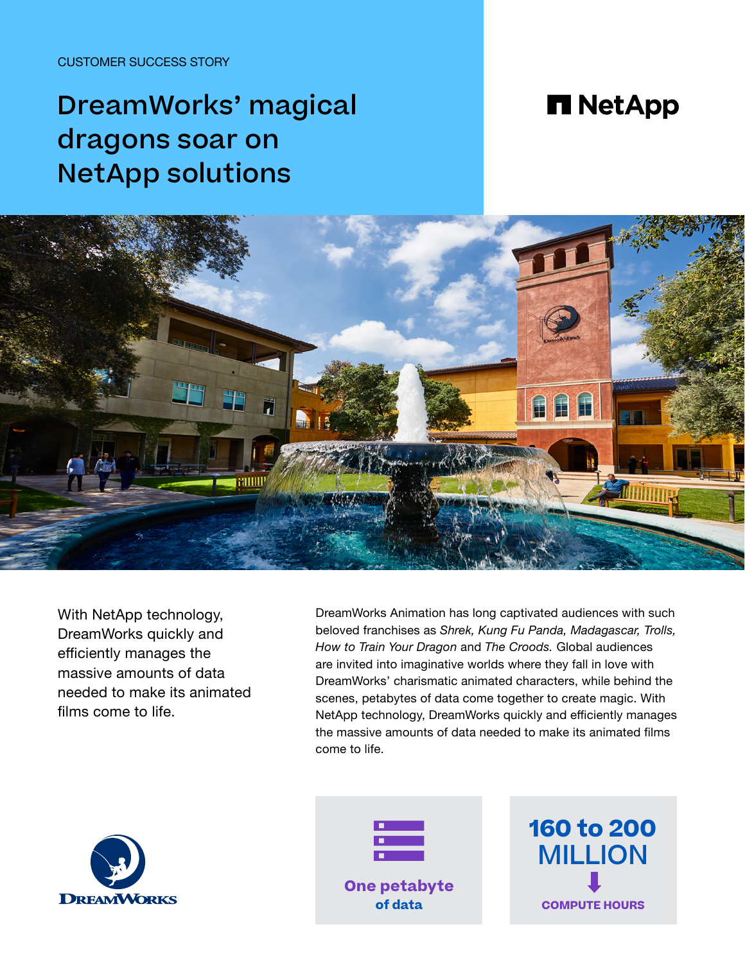CUSTOMER SUCCESS STORY

# DreamWorks' magical dragons soar on NetApp solutions

## **n** NetApp



With NetApp technology, DreamWorks quickly and efficiently manages the massive amounts of data needed to make its animated films come to life.

DreamWorks Animation has long captivated audiences with such beloved franchises as *Shrek, Kung Fu Panda, Madagascar, Trolls, How to Train Your Dragon* and *The Croods.* Global audiences are invited into imaginative worlds where they fall in love with DreamWorks' charismatic animated characters, while behind the scenes, petabytes of data come together to create magic. With NetApp technology, DreamWorks quickly and efficiently manages the massive amounts of data needed to make its animated films come to life.





**One petabyte of data**

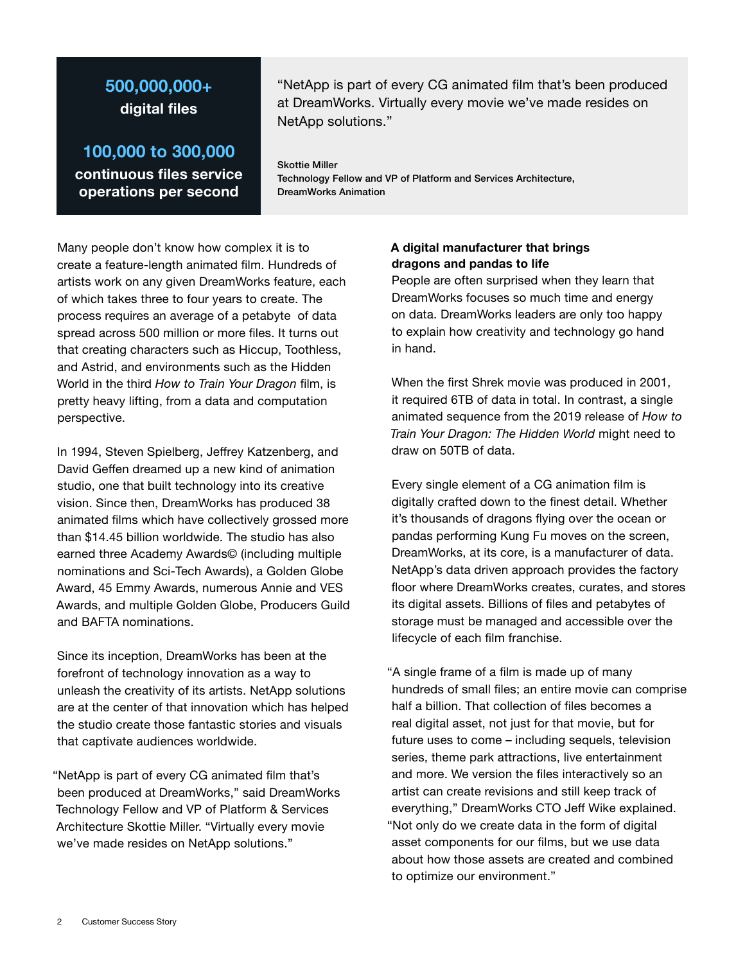## **500,000,000+ digital files**

**100,000 to 300,000 continuous files service operations per second**

"NetApp is part of every CG animated film that's been produced at DreamWorks. Virtually every movie we've made resides on NetApp solutions."

Skottie Miller Technology Fellow and VP of Platform and Services Architecture, DreamWorks Animation

Many people don't know how complex it is to create a feature-length animated film. Hundreds of artists work on any given DreamWorks feature, each of which takes three to four years to create. The process requires an average of a petabyte of data spread across 500 million or more files. It turns out that creating characters such as Hiccup, Toothless, and Astrid, and environments such as the Hidden World in the third *How to Train Your Dragon* film, is pretty heavy lifting, from a data and computation perspective.

In 1994, Steven Spielberg, Jeffrey Katzenberg, and David Geffen dreamed up a new kind of animation studio, one that built technology into its creative vision. Since then, DreamWorks has produced 38 animated films which have collectively grossed more than \$14.45 billion worldwide. The studio has also earned three Academy Awards© (including multiple nominations and Sci-Tech Awards), a Golden Globe Award, 45 Emmy Awards, numerous Annie and VES Awards, and multiple Golden Globe, Producers Guild and BAFTA nominations.

Since its inception, DreamWorks has been at the forefront of technology innovation as a way to unleash the creativity of its artists. NetApp solutions are at the center of that innovation which has helped the studio create those fantastic stories and visuals that captivate audiences worldwide.

"NetApp is part of every CG animated film that's been produced at DreamWorks," said DreamWorks Technology Fellow and VP of Platform & Services Architecture Skottie Miller. "Virtually every movie we've made resides on NetApp solutions."

### **A digital manufacturer that brings dragons and pandas to life**

People are often surprised when they learn that DreamWorks focuses so much time and energy on data. DreamWorks leaders are only too happy to explain how creativity and technology go hand in hand.

When the first Shrek movie was produced in 2001, it required 6TB of data in total. In contrast, a single animated sequence from the 2019 release of *How to Train Your Dragon: The Hidden World* might need to draw on 50TB of data.

Every single element of a CG animation film is digitally crafted down to the finest detail. Whether it's thousands of dragons flying over the ocean or pandas performing Kung Fu moves on the screen, DreamWorks, at its core, is a manufacturer of data. NetApp's data driven approach provides the factory floor where DreamWorks creates, curates, and stores its digital assets. Billions of files and petabytes of storage must be managed and accessible over the lifecycle of each film franchise.

"A single frame of a film is made up of many hundreds of small files; an entire movie can comprise half a billion. That collection of files becomes a real digital asset, not just for that movie, but for future uses to come – including sequels, television series, theme park attractions, live entertainment and more. We version the files interactively so an artist can create revisions and still keep track of everything," DreamWorks CTO Jeff Wike explained. "Not only do we create data in the form of digital asset components for our films, but we use data about how those assets are created and combined to optimize our environment."